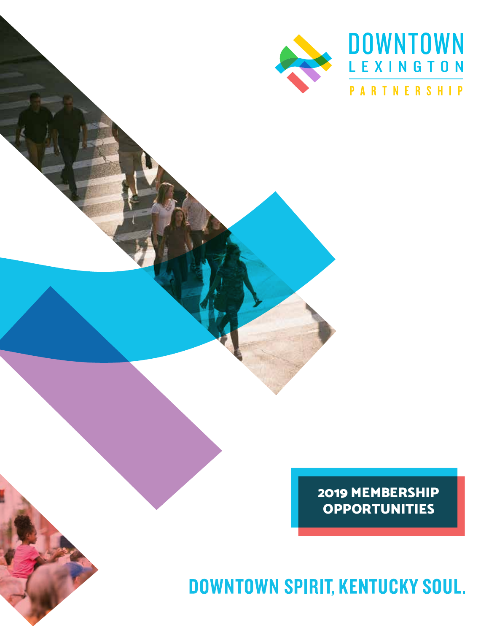

2019 MEMBERSHIP OPPORTUNITIES

**DOWNTOWN SPIRIT, KENTUCKY SOUL.**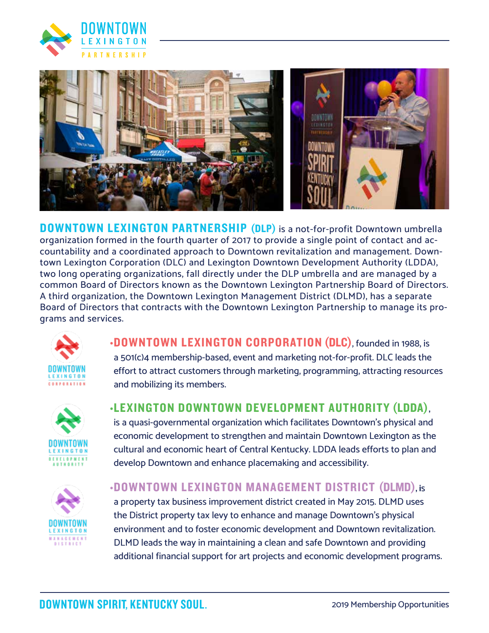



DOWNTOWN LEXINGTON PARTNERSHIP (DLP) is a not-for-profit Downtown umbrella organization formed in the fourth quarter of 2017 to provide a single point of contact and accountability and a coordinated approach to Downtown revitalization and management. Downtown Lexington Corporation (DLC) and Lexington Downtown Development Authority (LDDA), two long operating organizations, fall directly under the DLP umbrella and are managed by a common Board of Directors known as the Downtown Lexington Partnership Board of Directors. A third organization, the Downtown Lexington Management District (DLMD), has a separate Board of Directors that contracts with the Downtown Lexington Partnership to manage its programs and services.



•DOWNTOWN LEXINGTON CORPORATION (DLC), founded in 1988, is a 501(c)4 membership-based, event and marketing not-for-profit. DLC leads the effort to attract customers through marketing, programming, attracting resources and mobilizing its members.





# •LEXINGTON DOWNTOWN DEVELOPMENT AUTHORITY (LDDA),

is a quasi-governmental organization which facilitates Downtown's physical and economic development to strengthen and maintain Downtown Lexington as the cultural and economic heart of Central Kentucky. LDDA leads efforts to plan and develop Downtown and enhance placemaking and accessibility.

#### •DOWNTOWN LEXINGTON MANAGEMENT DISTRICT (DLMD), is

a property tax business improvement district created in May 2015. DLMD uses the District property tax levy to enhance and manage Downtown's physical environment and to foster economic development and Downtown revitalization. DLMD leads the way in maintaining a clean and safe Downtown and providing additional financial support for art projects and economic development programs.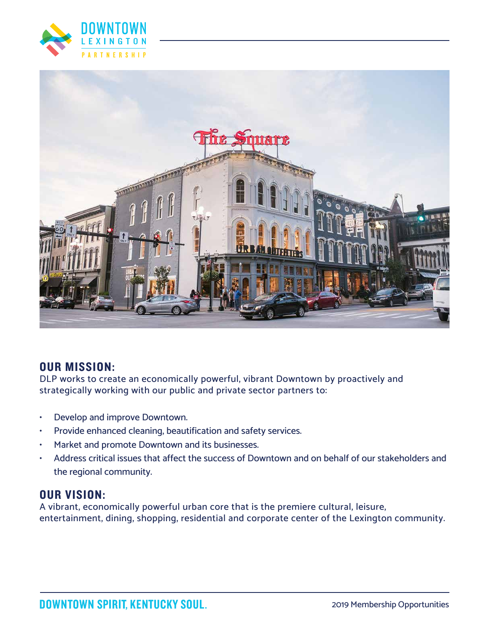



# OUR MISSION:

DLP works to create an economically powerful, vibrant Downtown by proactively and strategically working with our public and private sector partners to:

- Develop and improve Downtown.
- Provide enhanced cleaning, beautification and safety services.
- Market and promote Downtown and its businesses.
- Address critical issues that affect the success of Downtown and on behalf of our stakeholders and the regional community.

# OUR VISION:

A vibrant, economically powerful urban core that is the premiere cultural, leisure, entertainment, dining, shopping, residential and corporate center of the Lexington community.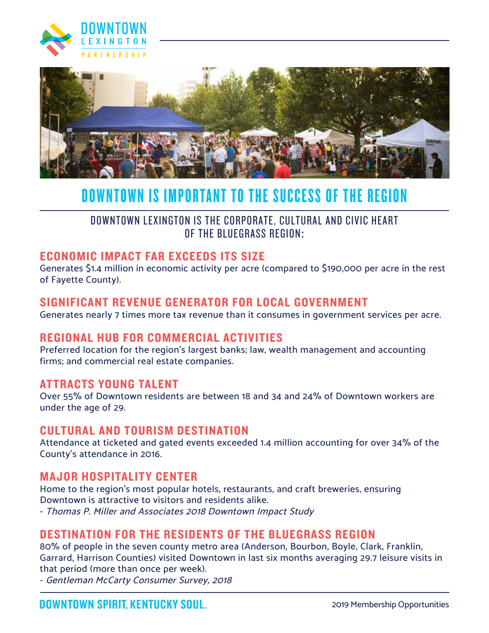



# DOWNTOWN IS IMPORTANT TO THE SUCCESS OF THE REGION

DOWNTOWN LEXINGTON IS THE CORPORATE, CULTURAL AND CIVIC HEART OF THE BLUEGRASS REGION:

# ECONOMIC IMPACT FAR EXCEEDS ITS SIZE

Generates \$1.4 million in economic activity per acre (compared to \$190,000 per acre in the rest of Fayette County).

#### SIGNIFICANT REVENUE GENERATOR FOR LOCAL GOVERNMENT

Generates nearly 7 times more tax revenue than it consumes in government services per acre.

# REGIONAL HUB FOR COMMERCIAL ACTIVITIES

Preferred location for the region's largest banks; law, wealth management and accounting firms; and commercial real estate companies.

#### ATTRACTS YOUNG TALENT

Over 55% of Downtown residents are between 18 and 34 and 24% of Downtown workers are under the age of 29.

#### CULTURAL AND TOURISM DESTINATION

Attendance at ticketed and gated events exceeded 1.4 million accounting for over 34% of the County's attendance in 2016.

#### MAJOR HOSPITALITY CENTER

Home to the region's most popular hotels, restaurants, and craft breweries, ensuring Downtown is attractive to visitors and residents alike. - Thomas P. Miller and Associates 2018 Downtown Impact Study

# DESTINATION FOR THE RESIDENTS OF THE BLUEGRASS REGION

80% of people in the seven county metro area (Anderson, Bourbon, Boyle, Clark, Franklin, Garrard, Harrison Counties) visited Downtown in last six months averaging 29.7 leisure visits in that period (more than once per week).

- Gentleman McCarty Consumer Survey, 2018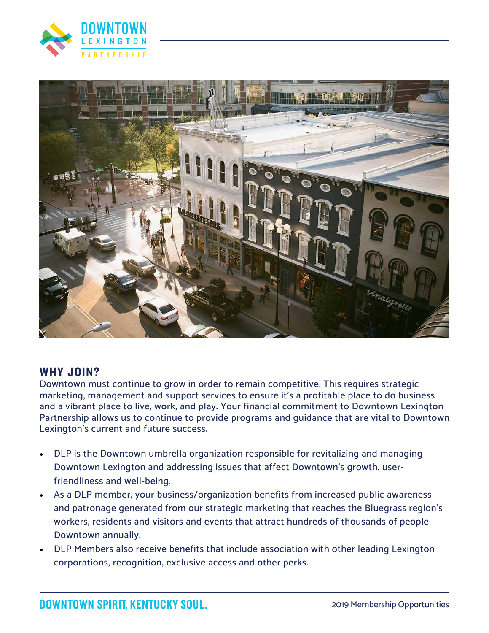



# WHY JOIN?

Downtown must continue to grow in order to remain competitive. This requires strategic marketing, management and support services to ensure it's a profitable place to do business and a vibrant place to live, work, and play. Your financial commitment to Downtown Lexington Partnership allows us to continue to provide programs and guidance that are vital to Downtown Lexington's current and future success.

- DLP is the Downtown umbrella organization responsible for revitalizing and managing Downtown Lexington and addressing issues that affect Downtown's growth, userfriendliness and well-being.
- As a DLP member, your business/organization benefits from increased public awareness and patronage generated from our strategic marketing that reaches the Bluegrass region's workers, residents and visitors and events that attract hundreds of thousands of people Downtown annually.
- DLP Members also receive benefits that include association with other leading Lexington corporations, recognition, exclusive access and other perks.